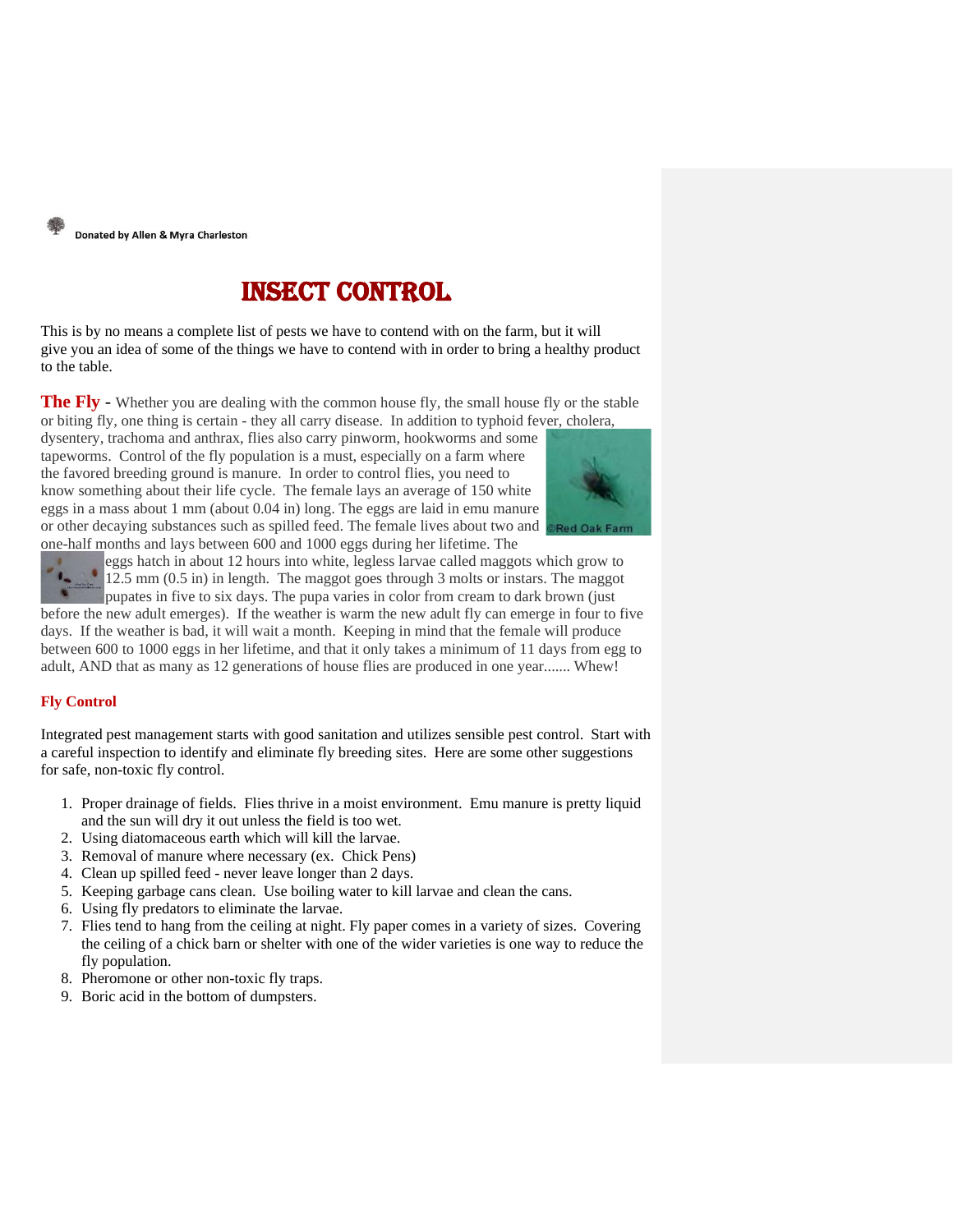

# Insect Control

This is by no means a complete list of pests we have to contend with on the farm, but it will give you an idea of some of the things we have to contend with in order to bring a healthy product to the table.

The Fly - Whether you are dealing with the common house fly, the small house fly or the stable or biting fly, one thing is certain - they all carry disease. In addition to typhoid fever, cholera,

dysentery, trachoma and anthrax, flies also carry pinworm, hookworms and some tapeworms. Control of the fly population is a must, especially on a farm where the favored breeding ground is manure. In order to control flies, you need to know something about their life cycle. The female lays an average of 150 white eggs in a mass about 1 mm (about 0.04 in) long. The eggs are laid in emu manure or other decaying substances such as spilled feed. The female lives about two and one-half months and lays between 600 and 1000 eggs during her lifetime. The



eggs hatch in about 12 hours into white, legless larvae called maggots which grow to  $12.5$  mm (0.5 in) in length. The maggot goes through 3 molts or instars. The maggot pupates in five to six days. The pupa varies in color from cream to dark brown (just [before](http://www.redoakfarm.com/fly_larva.htm) the new adult emerges). If the weather is warm the new adult fly can emerge in four to five days. If the weather is bad, it will wait a month. Keeping in mind that the female will produce

between 600 to 1000 eggs in her lifetime, and that it only takes a minimum of 11 days from egg to adult, AND that as many as 12 generations of house flies are produced in one year....... Whew!

### **Fly Control**

Integrated pest management starts with good sanitation and utilizes sensible pest control. Start with a careful inspection to identify and eliminate fly breeding sites. Here are some other suggestions for safe, non-toxic fly control.

- 1. Proper drainage of fields. Flies thrive in a moist environment. Emu manure is pretty liquid and the sun will dry it out unless the field is too wet.
- 2. Using diatomaceous earth which will kill the larvae.
- 3. Removal of manure where necessary (ex. Chick Pens)
- 4. Clean up spilled feed never leave longer than 2 days.
- 5. Keeping garbage cans clean. Use boiling water to kill larvae and clean the cans.
- 6. Using fly predators to eliminate the larvae.
- 7. Flies tend to hang from the ceiling at night. Fly paper comes in a variety of sizes. Covering the ceiling of a chick barn or shelter with one of the wider varieties is one way to reduce the fly population.
- 8. Pheromone or other non-toxic fly traps.
- 9. Boric acid in the bottom of dumpsters.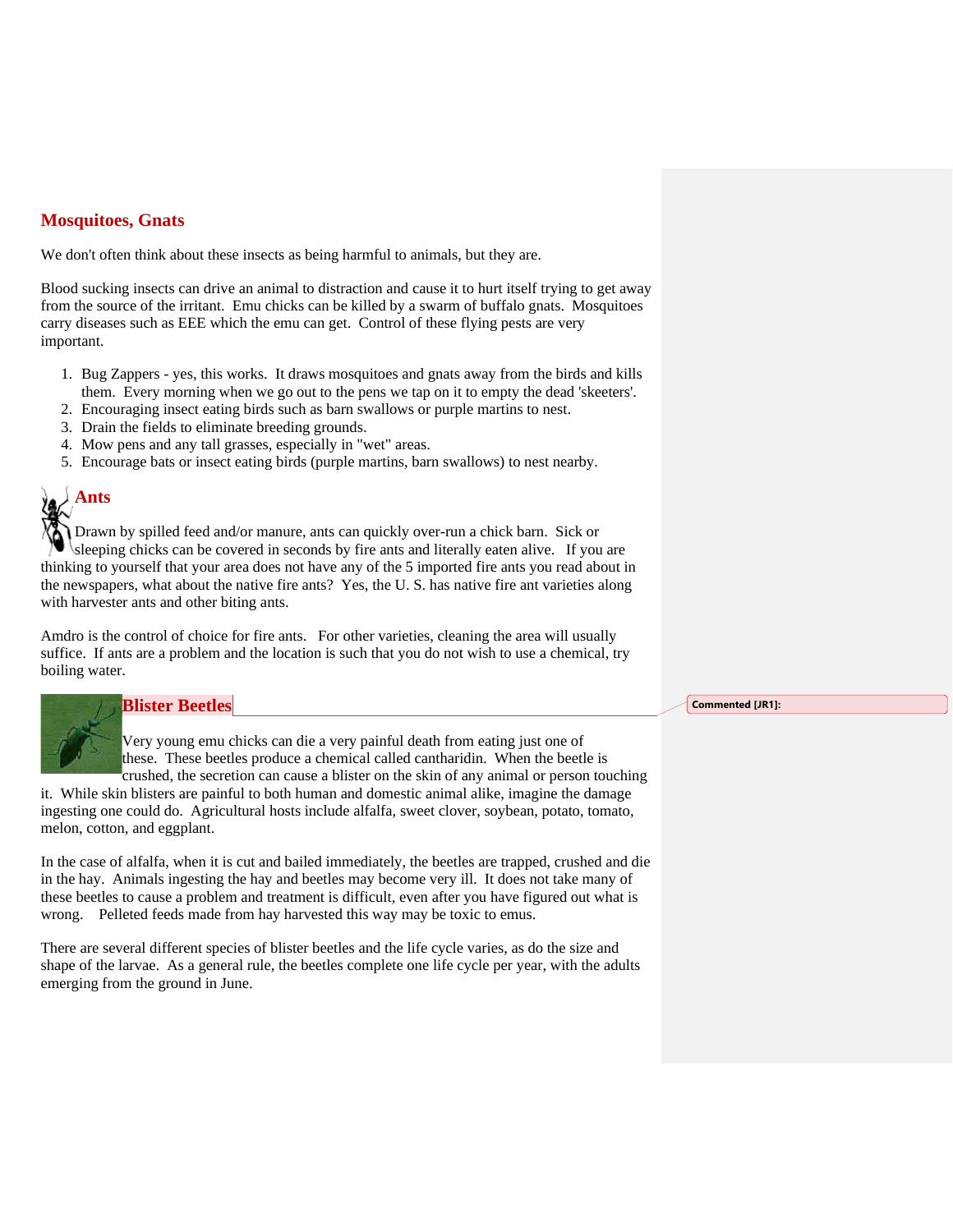## **Mosquitoes, Gnats**

We don't often think about these insects as being harmful to animals, but they are.

Blood sucking insects can drive an animal to distraction and cause it to hurt itself trying to get away from the source of the irritant. Emu chicks can be killed by a swarm of buffalo gnats. Mosquitoes carry diseases such as EEE which the emu can get. Control of these flying pests are very important.

- 1. Bug Zappers yes, this works. It draws mosquitoes and gnats away from the birds and kills them. Every morning when we go out to the pens we tap on it to empty the dead 'skeeters'.
- 2. Encouraging insect eating birds such as barn swallows or purple martins to nest.
- 3. Drain the fields to eliminate breeding grounds.
- 4. Mow pens and any tall grasses, especially in "wet" areas.
- 5. Encourage bats or insect eating birds (purple martins, barn swallows) to nest nearby.



Drawn by spilled feed and/or manure, ants can quickly over-run a chick barn. Sick or sleeping chicks can be covered in seconds by fire ants and literally eaten alive. If you are thinking to yourself that your area does not have any of the 5 imported fire ants you read about in the newspapers, what about the native fire ants? Yes, the U. S. has native fire ant varieties along with harvester ants and other biting ants.

Amdro is the control of choice for fire ants. For other varieties, cleaning the area will usually suffice. If ants are a problem and the location is such that you do not wish to use a chemical, try boiling water.



### **Blister Beetles**

Very young emu chicks can die a very painful death from eating just one of these. These beetles produce a chemical called cantharidin. When the beetle is crushed, the secretion can cause a blister on the skin of any animal or person touching

it. While skin blisters are painful to both human and domestic animal alike, imagine the damage ingesting one could do. Agricultural hosts include alfalfa, sweet clover, soybean, potato, tomato, melon, cotton, and eggplant.

In the case of alfalfa, when it is cut and bailed immediately, the beetles are trapped, crushed and die in the hay. Animals ingesting the hay and beetles may become very ill. It does not take many of these beetles to cause a problem and treatment is difficult, even after you have figured out what is wrong. Pelleted feeds made from hay harvested this way may be toxic to emus.

There are several different species of blister beetles and the life cycle varies, as do the size and shape of the larvae. As a general rule, the beetles complete one life cycle per year, with the adults emerging from the ground in June.

**Commented [JR1]:**